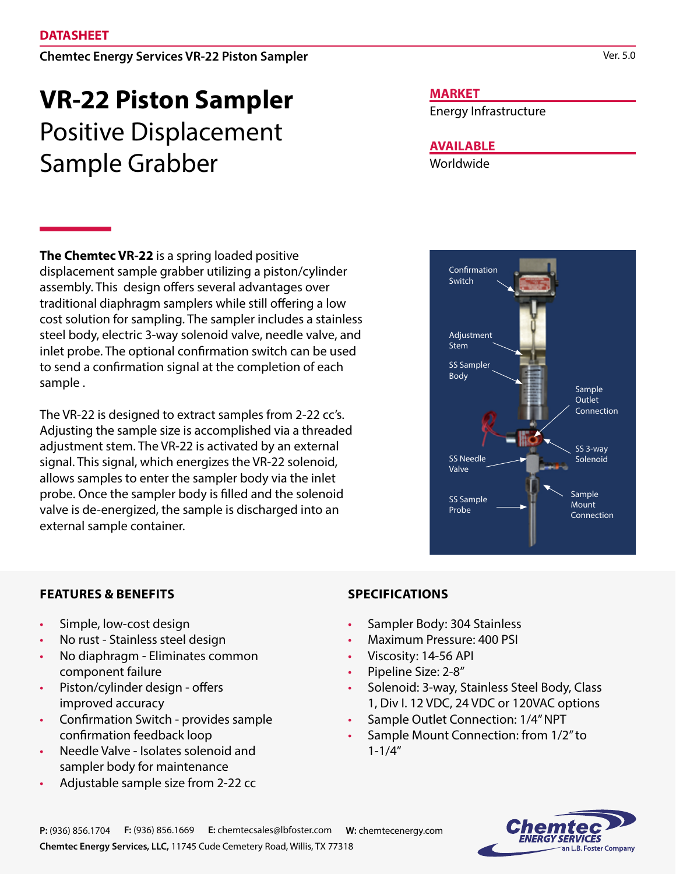#### Chemtec Energy Services VR-22 Piston Sampler

# **VR-22 Piston Sampler** Positive Displacement Sample Grabber

**The Chemtec VR-22** is a spring loaded positive displacement sample grabber utilizing a piston/cylinder assembly. This design offers several advantages over traditional diaphragm samplers while still offering a low cost solution for sampling. The sampler includes a stainless steel body, electric 3-way solenoid valve, needle valve, and inlet probe. The optional confirmation switch can be used to send a confirmation signal at the completion of each sample .

The VR-22 is designed to extract samples from 2-22 cc's. Adjusting the sample size is accomplished via a threaded adjustment stem. The VR-22 is activated by an external signal. This signal, which energizes the VR-22 solenoid, allows samples to enter the sampler body via the inlet probe. Once the sampler body is filled and the solenoid valve is de-energized, the sample is discharged into an external sample container.

#### **MARKET**

Energy Infrastructure

### **AVAILABLE**

Worldwide



#### **FEATURES & BENEFITS**

- Simple, low-cost design
- No rust Stainless steel design
- No diaphragm Eliminates common component failure
- Piston/cylinder design offers improved accuracy
- Confirmation Switch provides sample confirmation feedback loop
- Needle Valve Isolates solenoid and sampler body for maintenance
- Adjustable sample size from 2-22 cc

#### **SPECIFICATIONS**

- Sampler Body: 304 Stainless
- Maximum Pressure: 400 PSI
- Viscosity: 14-56 API
- Pipeline Size: 2-8"
- Solenoid: 3-way, Stainless Steel Body, Class 1, Div I. 12 VDC, 24 VDC or 120VAC options
- Sample Outlet Connection: 1/4" NPT
- Sample Mount Connection: from 1/2" to 1-1/4"